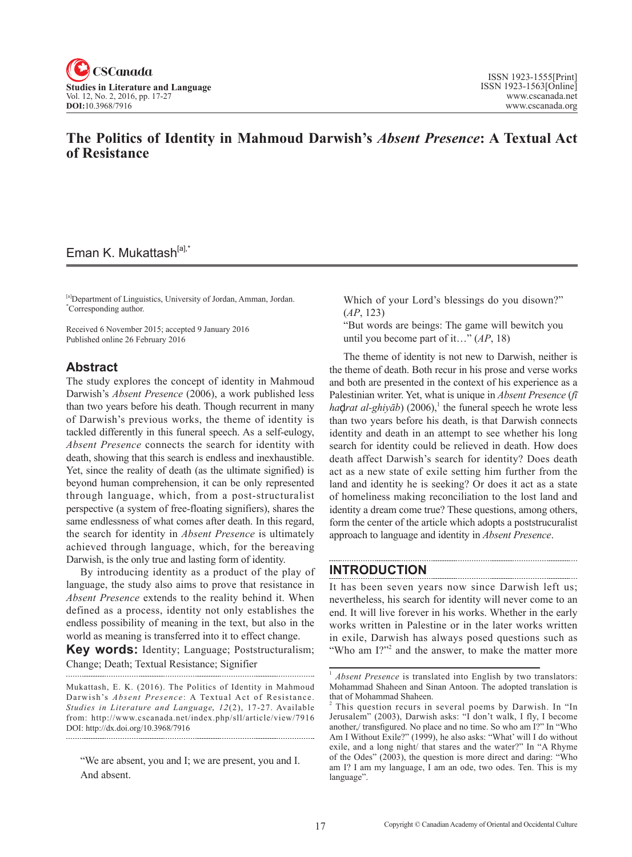

## **The Politics of Identity in Mahmoud Darwish's** *Absent Presence***: A Textual Act of Resistance**

# Eman K. Mukattash<sup>[a],\*</sup>

[a]Department of Linguistics, University of Jordan, Amman, Jordan. \* Corresponding author.

Received 6 November 2015; accepted 9 January 2016 Published online 26 February 2016

## **Abstract**

The study explores the concept of identity in Mahmoud Darwish's *Absent Presence* (2006), a work published less than two years before his death. Though recurrent in many of Darwish's previous works, the theme of identity is tackled differently in this funeral speech. As a self-eulogy, *Absent Presence* connects the search for identity with death, showing that this search is endless and inexhaustible. Yet, since the reality of death (as the ultimate signified) is beyond human comprehension, it can be only represented through language, which, from a post-structuralist perspective (a system of free-floating signifiers), shares the same endlessness of what comes after death. In this regard, the search for identity in *Absent Presence* is ultimately achieved through language, which, for the bereaving Darwish, is the only true and lasting form of identity.

By introducing identity as a product of the play of language, the study also aims to prove that resistance in *Absent Presence* extends to the reality behind it. When defined as a process, identity not only establishes the endless possibility of meaning in the text, but also in the world as meaning is transferred into it to effect change.

**Key words:** Identity; Language; Poststructuralism; Change; Death; Textual Resistance; Signifier

Mukattash, E. K. (2016). The Politics of Identity in Mahmoud Darwish's *Absent Presence*: A Textual Act of Resistance. Studies in Literature and Language, 12(2), 17-27. Available from: http://www.cscanada.net/index.php/sll/article/view/7916 DOI: http://dx.doi.org/10.3968/7916

"We are absent, you and I; we are present, you and I. And absent.

Which of your Lord's blessings do you disown?" (*AP*, 123)

"But words are beings: The game will bewitch you until you become part of it…" (*AP*, 18)

The theme of identity is not new to Darwish, neither is the theme of death. Both recur in his prose and verse works and both are presented in the context of his experience as a Palestinian writer. Yet, what is unique in *Absent Presence* (*fī ha*ç*drat al-ghiyāb*) (2006),<sup>1</sup> the funeral speech he wrote less than two years before his death, is that Darwish connects identity and death in an attempt to see whether his long search for identity could be relieved in death. How does death affect Darwish's search for identity? Does death act as a new state of exile setting him further from the land and identity he is seeking? Or does it act as a state of homeliness making reconciliation to the lost land and identity a dream come true? These questions, among others, form the center of the article which adopts a poststrucuralist approach to language and identity in *Absent Presence*.

## **INTRODUCTION**

It has been seven years now since Darwish left us; nevertheless, his search for identity will never come to an end. It will live forever in his works. Whether in the early works written in Palestine or in the later works written in exile, Darwish has always posed questions such as "Who am I?"<sup>2</sup> and the answer, to make the matter more

<sup>&</sup>lt;sup>1</sup> *Absent Presence* is translated into English by two translators: Mohammad Shaheen and Sinan Antoon. The adopted translation is that of Mohammad Shaheen.

<sup>2</sup> This question recurs in several poems by Darwish. In "In Jerusalem" (2003), Darwish asks: "I don't walk, I fly, I become another,/ transfigured. No place and no time. So who am I?" In "Who Am I Without Exile?" (1999), he also asks: "What' will I do without exile, and a long night/ that stares and the water?" In "A Rhyme of the Odes" (2003), the question is more direct and daring: "Who am I? I am my language, I am an ode, two odes. Ten. This is my language".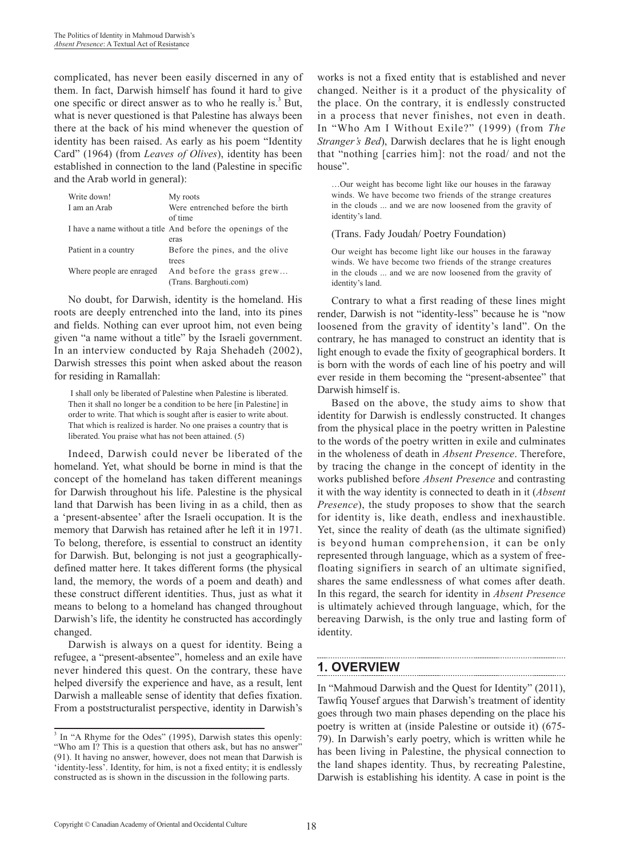complicated, has never been easily discerned in any of them. In fact, Darwish himself has found it hard to give one specific or direct answer as to who he really is. $3$  But, what is never questioned is that Palestine has always been there at the back of his mind whenever the question of identity has been raised. As early as his poem "Identity Card" (1964) (from *Leaves of Olives*), identity has been established in connection to the land (Palestine in specific and the Arab world in general):

| Write down!              | My roots                                                     |
|--------------------------|--------------------------------------------------------------|
| I am an Arab             | Were entrenched before the birth<br>of time                  |
|                          | I have a name without a title And before the openings of the |
|                          | eras                                                         |
| Patient in a country     | Before the pines, and the olive<br>trees                     |
|                          |                                                              |
| Where people are enraged | And before the grass grew                                    |
|                          | (Trans. Barghouti.com)                                       |

No doubt, for Darwish, identity is the homeland. His roots are deeply entrenched into the land, into its pines and fields. Nothing can ever uproot him, not even being given "a name without a title" by the Israeli government. In an interview conducted by Raja Shehadeh (2002), Darwish stresses this point when asked about the reason for residing in Ramallah:

 I shall only be liberated of Palestine when Palestine is liberated. Then it shall no longer be a condition to be here [in Palestine] in order to write. That which is sought after is easier to write about. That which is realized is harder. No one praises a country that is liberated. You praise what has not been attained. (5)

Indeed, Darwish could never be liberated of the homeland. Yet, what should be borne in mind is that the concept of the homeland has taken different meanings for Darwish throughout his life. Palestine is the physical land that Darwish has been living in as a child, then as a 'present-absentee' after the Israeli occupation. It is the memory that Darwish has retained after he left it in 1971. To belong, therefore, is essential to construct an identity for Darwish. But, belonging is not just a geographicallydefined matter here. It takes different forms (the physical land, the memory, the words of a poem and death) and these construct different identities. Thus, just as what it means to belong to a homeland has changed throughout Darwish's life, the identity he constructed has accordingly changed.

Darwish is always on a quest for identity. Being a refugee, a "present-absentee", homeless and an exile have never hindered this quest. On the contrary, these have helped diversify the experience and have, as a result, lent Darwish a malleable sense of identity that defies fixation. From a poststructuralist perspective, identity in Darwish's

works is not a fixed entity that is established and never changed. Neither is it a product of the physicality of the place. On the contrary, it is endlessly constructed in a process that never finishes, not even in death. In "Who Am I Without Exile?" (1999) (from *The Stranger's Bed*), Darwish declares that he is light enough that "nothing [carries him]: not the road/ and not the house".

…Our weight has become light like our houses in the faraway winds. We have become two friends of the strange creatures in the clouds ... and we are now loosened from the gravity of identity's land.

#### (Trans. Fady Joudah/ Poetry Foundation)

Our weight has become light like our houses in the faraway winds. We have become two friends of the strange creatures in the clouds ... and we are now loosened from the gravity of identity's land.

Contrary to what a first reading of these lines might render, Darwish is not "identity-less" because he is "now loosened from the gravity of identity's land". On the contrary, he has managed to construct an identity that is light enough to evade the fixity of geographical borders. It is born with the words of each line of his poetry and will ever reside in them becoming the "present-absentee" that Darwish himself is.

Based on the above, the study aims to show that identity for Darwish is endlessly constructed. It changes from the physical place in the poetry written in Palestine to the words of the poetry written in exile and culminates in the wholeness of death in *Absent Presence*. Therefore, by tracing the change in the concept of identity in the works published before *Absent Presence* and contrasting it with the way identity is connected to death in it (*Absent Presence*), the study proposes to show that the search for identity is, like death, endless and inexhaustible. Yet, since the reality of death (as the ultimate signified) is beyond human comprehension, it can be only represented through language, which as a system of freefloating signifiers in search of an ultimate signified, shares the same endlessness of what comes after death. In this regard, the search for identity in *Absent Presence* is ultimately achieved through language, which, for the bereaving Darwish, is the only true and lasting form of identity.

# **1. OVERVIEW**

In "Mahmoud Darwish and the Quest for Identity" (2011), Tawfiq Yousef argues that Darwish's treatment of identity goes through two main phases depending on the place his poetry is written at (inside Palestine or outside it) (675- 79). In Darwish's early poetry, which is written while he has been living in Palestine, the physical connection to the land shapes identity. Thus, by recreating Palestine, Darwish is establishing his identity. A case in point is the

<sup>&</sup>lt;sup>3</sup> In "A Rhyme for the Odes" (1995), Darwish states this openly: "Who am I? This is a question that others ask, but has no answer" (91). It having no answer, however, does not mean that Darwish is 'identity-less'. Identity, for him, is not a fixed entity; it is endlessly constructed as is shown in the discussion in the following parts.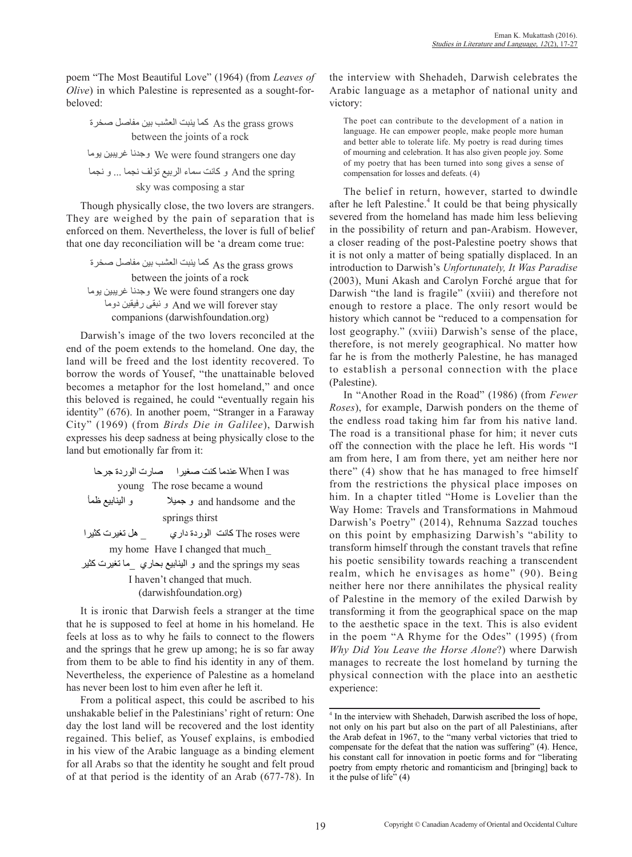poem "The Most Beautiful Love" (1964) (from *Leaves of Olive*) in which Palestine is represented as a sought-forbeloved: آما ينبت العشب بين مفاصل صخرة

آما ينبت العشب بين مفاصل صخرة As the grass grows آما ينبت العشب بين مفاصل صخرة between the joints of a rock

وجدنا غريبين يوما We were found strangers one day

sky was composing a star و آانت سماء الربيع تؤلف نجما ... و نجما And the spring .<br>ت سماء الربيع تؤلف نجما ... و نجما وجدنا غريبين يوما

They are weighed by the pain of separation that is Though physically close, the two lovers are strangers. enterior of them. The vertifieres, the fover is rain or seen<br>that one day reconciliation will be 'a dream come true: enforced on them. Nevertheless, the lover is full of belief ough physically close, the two love

وجدنا غريبين يوما وجدنا غريبين يوما و نبيت<br>و حدنا غر ببين بو ما companions (darwishfoundation.org) و نبقى رفيقين دوما و نبقى رفيقين دوما And we will forever stay آما ينبت العشب بين مفاصل صخرة As the grass grows آما ينبت العشب بين مفاصل صخرة وجدنا غريبين يوما وجدنا غريبين يوما We were found strangers one day between the joints of a rock وجد عرض غريبين يوما<br>موجد عرض الغريبين

land will be freed and the lost identity recovered. To becomes a metaphor for the lost homeland," and once end of the poem extends to the homeland. One day, the arwish's image of the two lovers r borrow the words of Yousef, "the unattainable beloved Darwish's image of the two lovers reconciled at the this beloved is regained, he could "eventually regain his City" (1969) (from *Birds Die in Galilee*), Darwish identity" (676). In another poem, "Stranger in a Faraway expresses his deep sadness at being physically close to the land but emotionally far from it:

عندما آنت صغيرا صارت الوردة جرحا When I was عندما آنت صغيرا صارت الوردة جرحا عندما آنت صغيرا صارت الوردة جرحا عندما آنت صغيرا صارت الوردة جرحا و جميلا و الينابيع ظمأ and handsome and the young The rose became a wound و جميلا و الينابيع ظمأ و جميلا و الينابيع ظمأ و جميلا و الينابيع ظمأ

springs thirst

آانت الوردة داري \_ هل تغيرت آثيرا The roses were كانت الوردة داري \_ هل تغيرت كثير آانت الوردة داري \_ هل تغيرت آثيرا آانت الوردة داري \_ هل تغيرت آثيرا

my home Have I changed that much\_

و الينابيع بحاري \_ما تغيرت آثيرا و الينابيع بحاري \_ما تغيرت آثيرا و الينابيع بحاري \_ما تغيرت آثيرا seas my springs the and و الينابيع بحاري \_ما تغيرت آثيرا

I haven't changed that much. (darwishfoundation.org)

It is ironic that Darwish feels a stranger at the time that he is supposed to feel at home in his homeland. He feels at loss as to why he fails to connect to the flowers and the springs that he grew up among; he is so far away from them to be able to find his identity in any of them. Nevertheless, the experience of Palestine as a homeland has never been lost to him even after he left it.

From a political aspect, this could be ascribed to his unshakable belief in the Palestinians' right of return: One day the lost land will be recovered and the lost identity regained. This belief, as Yousef explains, is embodied in his view of the Arabic language as a binding element for all Arabs so that the identity he sought and felt proud of at that period is the identity of an Arab (677-78). In the interview with Shehadeh, Darwish celebrates the Arabic language as a metaphor of national unity and victory:

The poet can contribute to the development of a nation in language. He can empower people, make people more human and better able to tolerate life. My poetry is read during times of mourning and celebration. It has also given people joy. Some of my poetry that has been turned into song gives a sense of compensation for losses and defeats. (4)

The belief in return, however, started to dwindle after he left Palestine.<sup>4</sup> It could be that being physically severed from the homeland has made him less believing in the possibility of return and pan-Arabism. However, a closer reading of the post-Palestine poetry shows that it is not only a matter of being spatially displaced. In an introduction to Darwish's *Unfortunately, It Was Paradise* (2003), Muni Akash and Carolyn Forché argue that for Darwish "the land is fragile" (xviii) and therefore not enough to restore a place. The only resort would be history which cannot be "reduced to a compensation for lost geography." (xviii) Darwish's sense of the place, therefore, is not merely geographical. No matter how far he is from the motherly Palestine, he has managed to establish a personal connection with the place (Palestine).

In "Another Road in the Road" (1986) (from *Fewer Roses*), for example, Darwish ponders on the theme of the endless road taking him far from his native land. The road is a transitional phase for him; it never cuts off the connection with the place he left. His words "I am from here, I am from there, yet am neither here nor there" (4) show that he has managed to free himself from the restrictions the physical place imposes on him. In a chapter titled "Home is Lovelier than the Way Home: Travels and Transformations in Mahmoud Darwish's Poetry" (2014), Rehnuma Sazzad touches on this point by emphasizing Darwish's "ability to transform himself through the constant travels that refine his poetic sensibility towards reaching a transcendent realm, which he envisages as home" (90). Being neither here nor there annihilates the physical reality of Palestine in the memory of the exiled Darwish by transforming it from the geographical space on the map to the aesthetic space in the text. This is also evident in the poem "A Rhyme for the Odes" (1995) (from *Why Did You Leave the Horse Alone*?) where Darwish manages to recreate the lost homeland by turning the physical connection with the place into an aesthetic experience:

<sup>&</sup>lt;sup>4</sup> In the interview with Shehadeh, Darwish ascribed the loss of hope, not only on his part but also on the part of all Palestinians, after the Arab defeat in 1967, to the "many verbal victories that tried to compensate for the defeat that the nation was suffering" (4). Hence, his constant call for innovation in poetic forms and for "liberating poetry from empty rhetoric and romanticism and [bringing] back to it the pulse of life"  $(4)$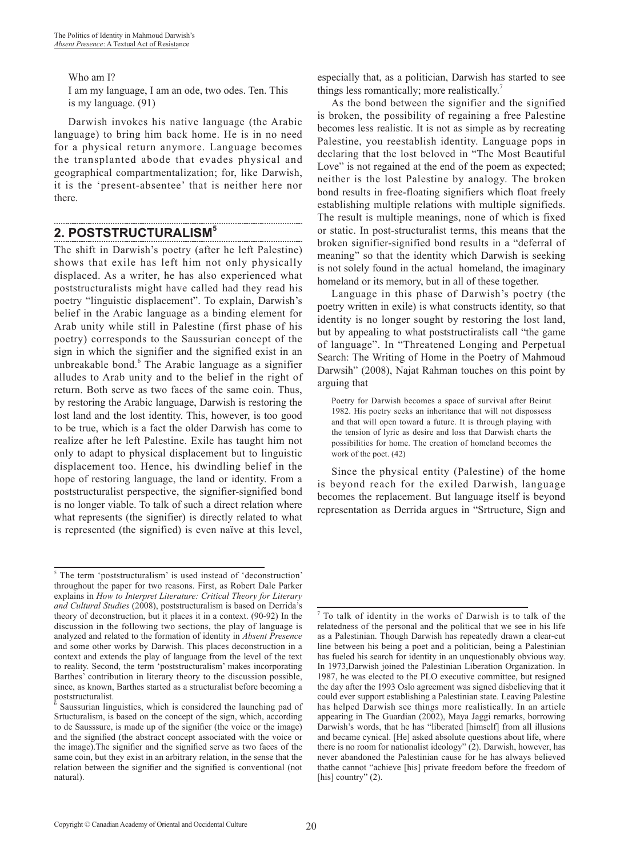Who am I?

I am my language, I am an ode, two odes. Ten. This is my language. (91)

Darwish invokes his native language (the Arabic language) to bring him back home. He is in no need for a physical return anymore. Language becomes the transplanted abode that evades physical and geographical compartmentalization; for, like Darwish, it is the 'present-absentee' that is neither here nor there.

# **2. POSTSTRUCTURALISM5**

The shift in Darwish's poetry (after he left Palestine) shows that exile has left him not only physically displaced. As a writer, he has also experienced what poststructuralists might have called had they read his poetry "linguistic displacement". To explain, Darwish's belief in the Arabic language as a binding element for Arab unity while still in Palestine (first phase of his poetry) corresponds to the Saussurian concept of the sign in which the signifier and the signified exist in an unbreakable bond.<sup>6</sup> The Arabic language as a signifier alludes to Arab unity and to the belief in the right of return. Both serve as two faces of the same coin. Thus, by restoring the Arabic language, Darwish is restoring the lost land and the lost identity. This, however, is too good to be true, which is a fact the older Darwish has come to realize after he left Palestine. Exile has taught him not only to adapt to physical displacement but to linguistic displacement too. Hence, his dwindling belief in the hope of restoring language, the land or identity. From a poststructuralist perspective, the signifier-signified bond is no longer viable. To talk of such a direct relation where what represents (the signifier) is directly related to what is represented (the signified) is even naïve at this level,

especially that, as a politician, Darwish has started to see things less romantically; more realistically.<sup>7</sup>

As the bond between the signifier and the signified is broken, the possibility of regaining a free Palestine becomes less realistic. It is not as simple as by recreating Palestine, you reestablish identity. Language pops in declaring that the lost beloved in "The Most Beautiful Love" is not regained at the end of the poem as expected; neither is the lost Palestine by analogy. The broken bond results in free-floating signifiers which float freely establishing multiple relations with multiple signifieds. The result is multiple meanings, none of which is fixed or static. In post-structuralist terms, this means that the broken signifier-signified bond results in a "deferral of meaning" so that the identity which Darwish is seeking is not solely found in the actual homeland, the imaginary homeland or its memory, but in all of these together.

Language in this phase of Darwish's poetry (the poetry written in exile) is what constructs identity, so that identity is no longer sought by restoring the lost land, but by appealing to what poststructiralists call "the game of language". In "Threatened Longing and Perpetual Search: The Writing of Home in the Poetry of Mahmoud Darwsih" (2008), Najat Rahman touches on this point by arguing that

Poetry for Darwish becomes a space of survival after Beirut 1982. His poetry seeks an inheritance that will not dispossess and that will open toward a future. It is through playing with the tension of lyric as desire and loss that Darwish charts the possibilities for home. The creation of homeland becomes the work of the poet. (42)

Since the physical entity (Palestine) of the home is beyond reach for the exiled Darwish, language becomes the replacement. But language itself is beyond representation as Derrida argues in "Srtructure, Sign and

<sup>&</sup>lt;sup>5</sup> The term 'poststructuralism' is used instead of 'deconstruction' throughout the paper for two reasons. First, as Robert Dale Parker explains in *How to Interpret Literature: Critical Theory for Literary and Cultural Studies* (2008), poststructuralism is based on Derrida's theory of deconstruction, but it places it in a context. (90-92) In the discussion in the following two sections, the play of language is analyzed and related to the formation of identity in *Absent Presence* and some other works by Darwish. This places deconstruction in a context and extends the play of language from the level of the text to reality. Second, the term 'poststructuralism' makes incorporating Barthes' contribution in literary theory to the discussion possible, since, as known, Barthes started as a structuralist before becoming a poststructuralist.

<sup>6</sup> Saussurian linguistics, which is considered the launching pad of Srtucturalism, is based on the concept of the sign, which, according to de Sausssure, is made up of the signifier (the voice or the image) and the signified (the abstract concept associated with the voice or the image).The signifier and the signified serve as two faces of the same coin, but they exist in an arbitrary relation, in the sense that the relation between the signifier and the signified is conventional (not natural).

<sup>7</sup> To talk of identity in the works of Darwish is to talk of the relatedness of the personal and the political that we see in his life as a Palestinian. Though Darwish has repeatedly drawn a clear-cut line between his being a poet and a politician, being a Palestinian has fueled his search for identity in an unquestionably obvious way. In 1973,Darwish joined the Palestinian Liberation Organization. In 1987, he was elected to the PLO executive committee, but resigned the day after the 1993 Oslo agreement was signed disbelieving that it could ever support establishing a Palestinian state. Leaving Palestine has helped Darwish see things more realistically. In an article appearing in The Guardian (2002), Maya Jaggi remarks, borrowing Darwish's words, that he has "liberated [himself] from all illusions and became cynical. [He] asked absolute questions about life, where there is no room for nationalist ideology" (2). Darwish, however, has never abandoned the Palestinian cause for he has always believed thathe cannot "achieve [his] private freedom before the freedom of [his] country" (2).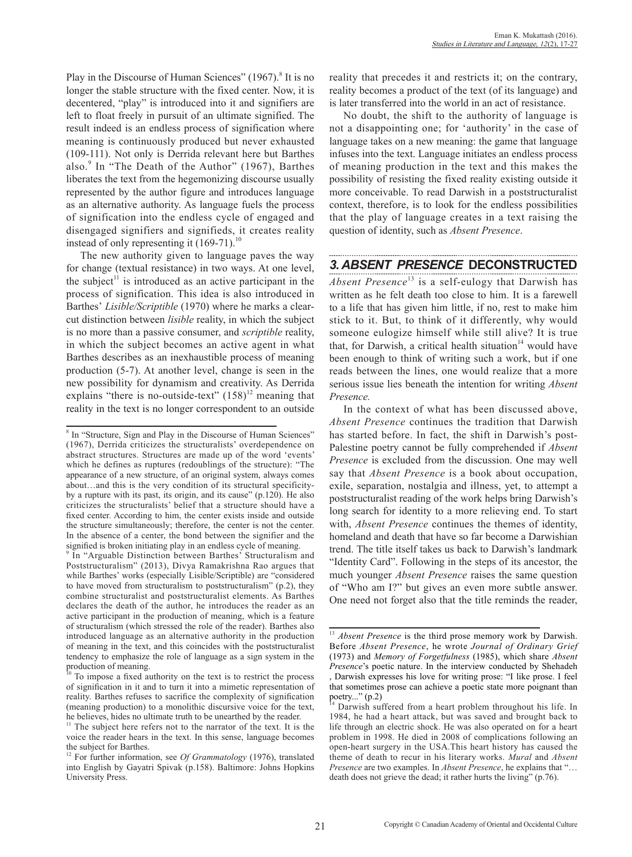Play in the Discourse of Human Sciences" (1967).<sup>8</sup> It is no longer the stable structure with the fixed center. Now, it is decentered, "play" is introduced into it and signifiers are left to float freely in pursuit of an ultimate signified. The result indeed is an endless process of signification where meaning is continuously produced but never exhausted (109-111). Not only is Derrida relevant here but Barthes also.<sup>9</sup> In "The Death of the Author" (1967), Barthes liberates the text from the hegemonizing discourse usually represented by the author figure and introduces language as an alternative authority. As language fuels the process of signification into the endless cycle of engaged and disengaged signifiers and signifieds, it creates reality instead of only representing it  $(169-71)$ .<sup>10</sup>

The new authority given to language paves the way for change (textual resistance) in two ways. At one level, the subject<sup>11</sup> is introduced as an active participant in the process of signification. This idea is also introduced in Barthes' *Lisible/Scriptible* (1970) where he marks a clearcut distinction between *lisible* reality, in which the subject is no more than a passive consumer, and *scriptible* reality, in which the subject becomes an active agent in what Barthes describes as an inexhaustible process of meaning production (5-7). At another level, change is seen in the new possibility for dynamism and creativity. As Derrida explains "there is no-outside-text"  $(158)^{12}$  meaning that reality in the text is no longer correspondent to an outside

reality that precedes it and restricts it; on the contrary, reality becomes a product of the text (of its language) and is later transferred into the world in an act of resistance.

No doubt, the shift to the authority of language is not a disappointing one; for 'authority' in the case of language takes on a new meaning: the game that language infuses into the text. Language initiates an endless process of meaning production in the text and this makes the possibility of resisting the fixed reality existing outside it more conceivable. To read Darwish in a poststructuralist context, therefore, is to look for the endless possibilities that the play of language creates in a text raising the question of identity, such as *Absent Presence*.

## *3. ABSENT PRESENCE* **DECONSTRUCTED**

*Absent Presence*<sup>13</sup> is a self-eulogy that Darwish has written as he felt death too close to him. It is a farewell to a life that has given him little, if no, rest to make him stick to it. But, to think of it differently, why would someone eulogize himself while still alive? It is true that, for Darwish, a critical health situation<sup>14</sup> would have been enough to think of writing such a work, but if one reads between the lines, one would realize that a more serious issue lies beneath the intention for writing *Absent Presence.*

In the context of what has been discussed above, *Absent Presence* continues the tradition that Darwish has started before. In fact, the shift in Darwish's post-Palestine poetry cannot be fully comprehended if *Absent Presence* is excluded from the discussion. One may well say that *Absent Presence* is a book about occupation, exile, separation, nostalgia and illness, yet, to attempt a poststructuralist reading of the work helps bring Darwish's long search for identity to a more relieving end. To start with, *Absent Presence* continues the themes of identity, homeland and death that have so far become a Darwishian trend. The title itself takes us back to Darwish's landmark "Identity Card". Following in the steps of its ancestor, the much younger *Absent Presence* raises the same question of "Who am I?" but gives an even more subtle answer. One need not forget also that the title reminds the reader,

<sup>&</sup>lt;sup>8</sup> In "Structure, Sign and Play in the Discourse of Human Sciences" (1967), Derrida criticizes the structuralists' overdependence on abstract structures. Structures are made up of the word 'events' which he defines as ruptures (redoublings of the structure): "The appearance of a new structure, of an original system, always comes about…and this is the very condition of its structural specificityby a rupture with its past, its origin, and its cause" (p.120). He also criticizes the structuralists' belief that a structure should have a fixed center. According to him, the center exists inside and outside the structure simultaneously; therefore, the center is not the center. In the absence of a center, the bond between the signifier and the signified is broken initiating play in an endless cycle of meaning.

In "Arguable Distinction between Barthes' Structuralism and Poststructuralism" (2013), Divya Ramakrishna Rao argues that while Barthes' works (especially Lisible/Scriptible) are "considered to have moved from structuralism to poststructuralism" (p.2), they combine structuralist and poststructuralist elements. As Barthes declares the death of the author, he introduces the reader as an active participant in the production of meaning, which is a feature of structuralism (which stressed the role of the reader). Barthes also introduced language as an alternative authority in the production of meaning in the text, and this coincides with the poststructuralist tendency to emphasize the role of language as a sign system in the production of meaning.

<sup>10</sup> To impose a fixed authority on the text is to restrict the process of signification in it and to turn it into a mimetic representation of reality. Barthes refuses to sacrifice the complexity of signification (meaning production) to a monolithic discursive voice for the text, he believes, hides no ultimate truth to be unearthed by the reader.

<sup>&</sup>lt;sup>11</sup> The subject here refers not to the narrator of the text. It is the voice the reader hears in the text. In this sense, language becomes the subject for Barthes.

<sup>12</sup> For further information, see *Of Grammatology* (1976), translated into English by Gayatri Spivak (p.158). Baltimore: Johns Hopkins University Press.

<sup>&</sup>lt;sup>13</sup> *Absent Presence* is the third prose memory work by Darwish. Before *Absent Presence*, he wrote *Journal of Ordinary Grief* (1973) and *Memory of Forgetfulness* (1985), which share *Absent Presence*'s poetic nature. In the interview conducted by Shehadeh , Darwish expresses his love for writing prose: "I like prose. I feel that sometimes prose can achieve a poetic state more poignant than poetry..." $(p.2)$ 

Darwish suffered from a heart problem throughout his life. In 1984, he had a heart attack, but was saved and brought back to life through an electric shock. He was also operated on for a heart problem in 1998. He died in 2008 of complications following an open-heart surgery in the USA.This heart history has caused the theme of death to recur in his literary works. *Mural* and *Absent Presence* are two examples. In *Absent Presence*, he explains that "… death does not grieve the dead; it rather hurts the living" (p.76).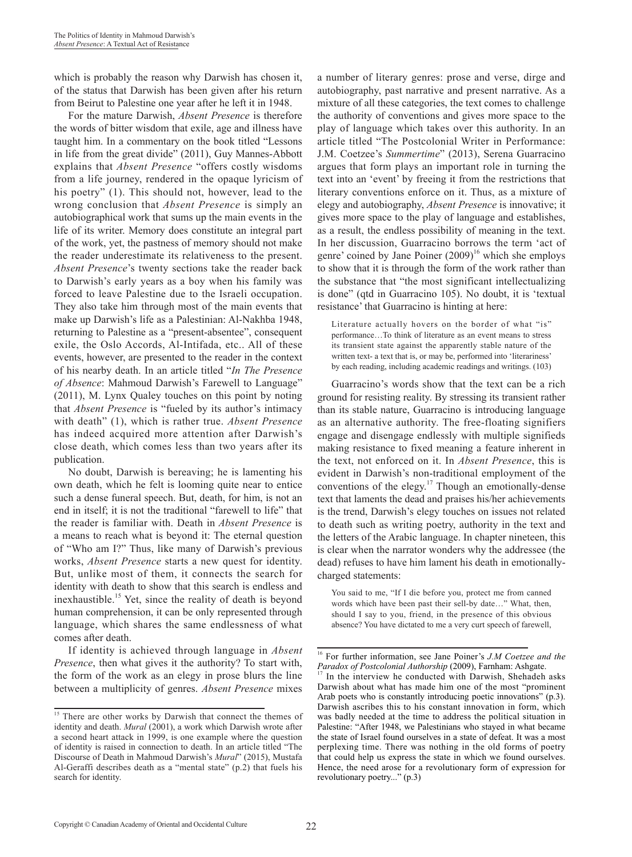which is probably the reason why Darwish has chosen it, of the status that Darwish has been given after his return from Beirut to Palestine one year after he left it in 1948.

For the mature Darwish, *Absent Presence* is therefore the words of bitter wisdom that exile, age and illness have taught him. In a commentary on the book titled "Lessons in life from the great divide" (2011), Guy Mannes-Abbott explains that *Absent Presence* "offers costly wisdoms from a life journey, rendered in the opaque lyricism of his poetry" (1). This should not, however, lead to the wrong conclusion that *Absent Presence* is simply an autobiographical work that sums up the main events in the life of its writer. Memory does constitute an integral part of the work, yet, the pastness of memory should not make the reader underestimate its relativeness to the present. *Absent Presence*'s twenty sections take the reader back to Darwish's early years as a boy when his family was forced to leave Palestine due to the Israeli occupation. They also take him through most of the main events that make up Darwish's life as a Palestinian: Al-Nakhba 1948, returning to Palestine as a "present-absentee", consequent exile, the Oslo Accords, Al-Intifada, etc.. All of these events, however, are presented to the reader in the context of his nearby death. In an article titled "*In The Presence of Absence*: Mahmoud Darwish's Farewell to Language" (2011), M. Lynx Qualey touches on this point by noting that *Absent Presence* is "fueled by its author's intimacy with death" (1), which is rather true. *Absent Presence* has indeed acquired more attention after Darwish's close death, which comes less than two years after its publication.

No doubt, Darwish is bereaving; he is lamenting his own death, which he felt is looming quite near to entice such a dense funeral speech. But, death, for him, is not an end in itself; it is not the traditional "farewell to life" that the reader is familiar with. Death in *Absent Presence* is a means to reach what is beyond it: The eternal question of "Who am I?" Thus, like many of Darwish's previous works, *Absent Presence* starts a new quest for identity. But, unlike most of them, it connects the search for identity with death to show that this search is endless and inexhaustible.15 Yet, since the reality of death is beyond human comprehension, it can be only represented through language, which shares the same endlessness of what comes after death.

If identity is achieved through language in *Absent Presence*, then what gives it the authority? To start with, the form of the work as an elegy in prose blurs the line between a multiplicity of genres. *Absent Presence* mixes a number of literary genres: prose and verse, dirge and autobiography, past narrative and present narrative. As a mixture of all these categories, the text comes to challenge the authority of conventions and gives more space to the play of language which takes over this authority. In an article titled "The Postcolonial Writer in Performance: J.M. Coetzee's *Summertime*" (2013), Serena Guarracino argues that form plays an important role in turning the text into an 'event' by freeing it from the restrictions that literary conventions enforce on it. Thus, as a mixture of elegy and autobiography, *Absent Presence* is innovative; it gives more space to the play of language and establishes, as a result, the endless possibility of meaning in the text. In her discussion, Guarracino borrows the term 'act of genre' coined by Jane Poiner  $(2009)^{16}$  which she employs to show that it is through the form of the work rather than the substance that "the most significant intellectualizing is done" (qtd in Guarracino 105). No doubt, it is 'textual resistance' that Guarracino is hinting at here:

Literature actually hovers on the border of what "is" performance…To think of literature as an event means to stress its transient state against the apparently stable nature of the written text- a text that is, or may be, performed into 'literariness' by each reading, including academic readings and writings. (103)

Guarracino's words show that the text can be a rich ground for resisting reality. By stressing its transient rather than its stable nature, Guarracino is introducing language as an alternative authority. The free-floating signifiers engage and disengage endlessly with multiple signifieds making resistance to fixed meaning a feature inherent in the text, not enforced on it. In *Absent Presence*, this is evident in Darwish's non-traditional employment of the conventions of the elegy.<sup>17</sup> Though an emotionally-dense text that laments the dead and praises his/her achievements is the trend, Darwish's elegy touches on issues not related to death such as writing poetry, authority in the text and the letters of the Arabic language. In chapter nineteen, this is clear when the narrator wonders why the addressee (the dead) refuses to have him lament his death in emotionallycharged statements:

You said to me, "If I die before you, protect me from canned words which have been past their sell-by date…" What, then, should I say to you, friend, in the presence of this obvious absence? You have dictated to me a very curt speech of farewell,

<sup>&</sup>lt;sup>15</sup> There are other works by Darwish that connect the themes of identity and death. *Mural* (2001), a work which Darwish wrote after a second heart attack in 1999, is one example where the question of identity is raised in connection to death. In an article titled "The Discourse of Death in Mahmoud Darwish's *Mural*" (2015), Mustafa Al-Geraffi describes death as a "mental state" (p.2) that fuels his search for identity.

<sup>&</sup>lt;sup>16</sup> For further information, see Jane Poiner's *J.M Coetzee and the Paradox of Postcolonial Authorship* (2009), Farnham: Ashgate. In the interview he conducted with Darwish, Shehadeh asks Darwish about what has made him one of the most "prominent Arab poets who is constantly introducing poetic innovations" (p.3). Darwish ascribes this to his constant innovation in form, which was badly needed at the time to address the political situation in Palestine: "After 1948, we Palestinians who stayed in what became the state of Israel found ourselves in a state of defeat. It was a most perplexing time. There was nothing in the old forms of poetry that could help us express the state in which we found ourselves. Hence, the need arose for a revolutionary form of expression for revolutionary poetry..." (p.3)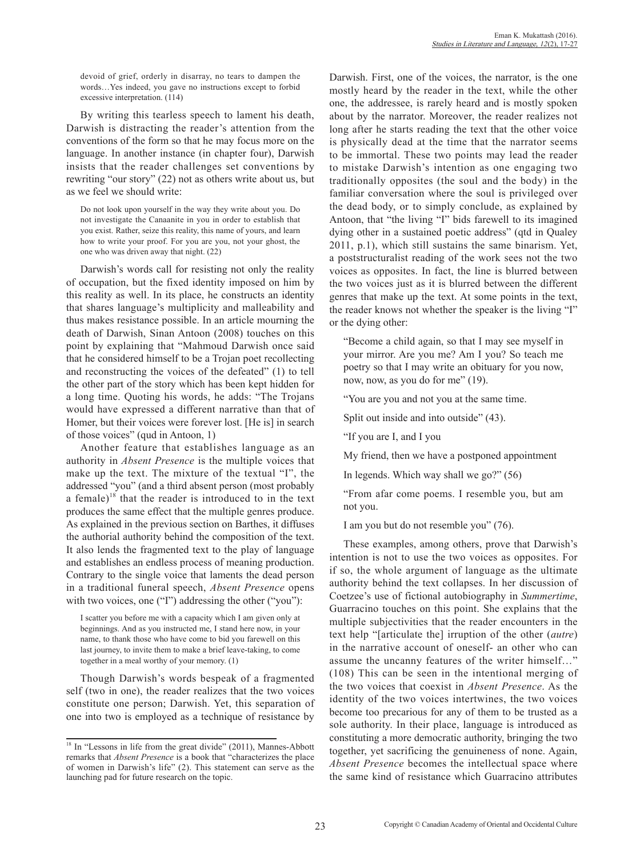devoid of grief, orderly in disarray, no tears to dampen the words…Yes indeed, you gave no instructions except to forbid excessive interpretation. (114)

By writing this tearless speech to lament his death, Darwish is distracting the reader's attention from the conventions of the form so that he may focus more on the language. In another instance (in chapter four), Darwish insists that the reader challenges set conventions by rewriting "our story" (22) not as others write about us, but as we feel we should write:

Do not look upon yourself in the way they write about you. Do not investigate the Canaanite in you in order to establish that you exist. Rather, seize this reality, this name of yours, and learn how to write your proof. For you are you, not your ghost, the one who was driven away that night. (22)

Darwish's words call for resisting not only the reality of occupation, but the fixed identity imposed on him by this reality as well. In its place, he constructs an identity that shares language's multiplicity and malleability and thus makes resistance possible. In an article mourning the death of Darwish, Sinan Antoon (2008) touches on this point by explaining that "Mahmoud Darwish once said that he considered himself to be a Trojan poet recollecting and reconstructing the voices of the defeated" (1) to tell the other part of the story which has been kept hidden for a long time. Quoting his words, he adds: "The Trojans would have expressed a different narrative than that of Homer, but their voices were forever lost. [He is] in search of those voices" (qud in Antoon, 1)

Another feature that establishes language as an authority in *Absent Presence* is the multiple voices that make up the text. The mixture of the textual "I", the addressed "you" (and a third absent person (most probably a female)<sup>18</sup> that the reader is introduced to in the text produces the same effect that the multiple genres produce. As explained in the previous section on Barthes, it diffuses the authorial authority behind the composition of the text. It also lends the fragmented text to the play of language and establishes an endless process of meaning production. Contrary to the single voice that laments the dead person in a traditional funeral speech, *Absent Presence* opens with two voices, one ("I") addressing the other ("you"):

I scatter you before me with a capacity which I am given only at beginnings. And as you instructed me, I stand here now, in your name, to thank those who have come to bid you farewell on this last journey, to invite them to make a brief leave-taking, to come together in a meal worthy of your memory. (1)

Though Darwish's words bespeak of a fragmented self (two in one), the reader realizes that the two voices constitute one person; Darwish. Yet, this separation of one into two is employed as a technique of resistance by Darwish. First, one of the voices, the narrator, is the one mostly heard by the reader in the text, while the other one, the addressee, is rarely heard and is mostly spoken about by the narrator. Moreover, the reader realizes not long after he starts reading the text that the other voice is physically dead at the time that the narrator seems to be immortal. These two points may lead the reader to mistake Darwish's intention as one engaging two traditionally opposites (the soul and the body) in the familiar conversation where the soul is privileged over the dead body, or to simply conclude, as explained by Antoon, that "the living "I" bids farewell to its imagined dying other in a sustained poetic address" (qtd in Qualey 2011, p.1), which still sustains the same binarism. Yet, a poststructuralist reading of the work sees not the two voices as opposites. In fact, the line is blurred between the two voices just as it is blurred between the different genres that make up the text. At some points in the text, the reader knows not whether the speaker is the living "I" or the dying other:

"Become a child again, so that I may see myself in your mirror. Are you me? Am I you? So teach me poetry so that I may write an obituary for you now, now, now, as you do for me" (19).

"You are you and not you at the same time.

Split out inside and into outside" (43).

"If you are I, and I you

My friend, then we have a postponed appointment

In legends. Which way shall we go?" (56)

"From afar come poems. I resemble you, but am not you.

I am you but do not resemble you" (76).

These examples, among others, prove that Darwish's intention is not to use the two voices as opposites. For if so, the whole argument of language as the ultimate authority behind the text collapses. In her discussion of Coetzee's use of fictional autobiography in *Summertime*, Guarracino touches on this point. She explains that the multiple subjectivities that the reader encounters in the text help "[articulate the] irruption of the other (*autre*) in the narrative account of oneself- an other who can assume the uncanny features of the writer himself…" (108) This can be seen in the intentional merging of the two voices that coexist in *Absent Presence*. As the identity of the two voices intertwines, the two voices become too precarious for any of them to be trusted as a sole authority. In their place, language is introduced as constituting a more democratic authority, bringing the two together, yet sacrificing the genuineness of none. Again, *Absent Presence* becomes the intellectual space where the same kind of resistance which Guarracino attributes

<sup>&</sup>lt;sup>18</sup> In "Lessons in life from the great divide" (2011), Mannes-Abbott remarks that *Absent Presence* is a book that "characterizes the place of women in Darwish's life" (2). This statement can serve as the launching pad for future research on the topic.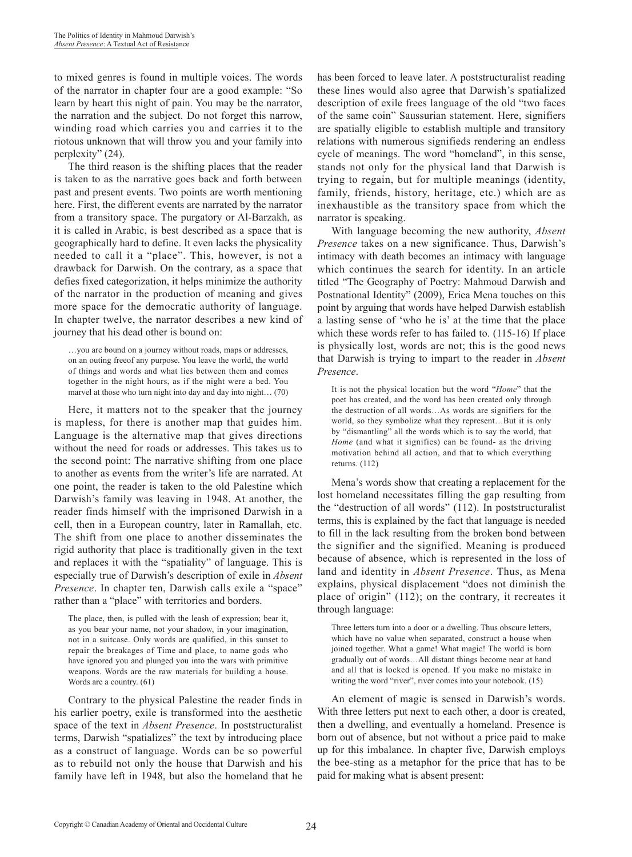to mixed genres is found in multiple voices. The words of the narrator in chapter four are a good example: "So learn by heart this night of pain. You may be the narrator, the narration and the subject. Do not forget this narrow, winding road which carries you and carries it to the riotous unknown that will throw you and your family into perplexity" (24).

The third reason is the shifting places that the reader is taken to as the narrative goes back and forth between past and present events. Two points are worth mentioning here. First, the different events are narrated by the narrator from a transitory space. The purgatory or Al-Barzakh, as it is called in Arabic, is best described as a space that is geographically hard to define. It even lacks the physicality needed to call it a "place". This, however, is not a drawback for Darwish. On the contrary, as a space that defies fixed categorization, it helps minimize the authority of the narrator in the production of meaning and gives more space for the democratic authority of language. In chapter twelve, the narrator describes a new kind of journey that his dead other is bound on:

…you are bound on a journey without roads, maps or addresses, on an outing freeof any purpose. You leave the world, the world of things and words and what lies between them and comes together in the night hours, as if the night were a bed. You marvel at those who turn night into day and day into night… (70)

Here, it matters not to the speaker that the journey is mapless, for there is another map that guides him. Language is the alternative map that gives directions without the need for roads or addresses. This takes us to the second point: The narrative shifting from one place to another as events from the writer's life are narrated. At one point, the reader is taken to the old Palestine which Darwish's family was leaving in 1948. At another, the reader finds himself with the imprisoned Darwish in a cell, then in a European country, later in Ramallah, etc. The shift from one place to another disseminates the rigid authority that place is traditionally given in the text and replaces it with the "spatiality" of language. This is especially true of Darwish's description of exile in *Absent Presence*. In chapter ten, Darwish calls exile a "space" rather than a "place" with territories and borders.

The place, then, is pulled with the leash of expression; bear it, as you bear your name, not your shadow, in your imagination, not in a suitcase. Only words are qualified, in this sunset to repair the breakages of Time and place, to name gods who have ignored you and plunged you into the wars with primitive weapons. Words are the raw materials for building a house. Words are a country. (61)

Contrary to the physical Palestine the reader finds in his earlier poetry, exile is transformed into the aesthetic space of the text in *Absent Presence*. In poststructuralist terms, Darwish "spatializes" the text by introducing place as a construct of language. Words can be so powerful as to rebuild not only the house that Darwish and his family have left in 1948, but also the homeland that he has been forced to leave later. A poststructuralist reading these lines would also agree that Darwish's spatialized description of exile frees language of the old "two faces of the same coin" Saussurian statement. Here, signifiers are spatially eligible to establish multiple and transitory relations with numerous signifieds rendering an endless cycle of meanings. The word "homeland", in this sense, stands not only for the physical land that Darwish is trying to regain, but for multiple meanings (identity, family, friends, history, heritage, etc.) which are as inexhaustible as the transitory space from which the narrator is speaking.

With language becoming the new authority, *Absent Presence* takes on a new significance. Thus, Darwish's intimacy with death becomes an intimacy with language which continues the search for identity. In an article titled "The Geography of Poetry: Mahmoud Darwish and Postnational Identity" (2009), Erica Mena touches on this point by arguing that words have helped Darwish establish a lasting sense of 'who he is' at the time that the place which these words refer to has failed to. (115-16) If place is physically lost, words are not; this is the good news that Darwish is trying to impart to the reader in *Absent Presence*.

It is not the physical location but the word "*Home*" that the poet has created, and the word has been created only through the destruction of all words…As words are signifiers for the world, so they symbolize what they represent…But it is only by "dismantling" all the words which is to say the world, that *Home* (and what it signifies) can be found- as the driving motivation behind all action, and that to which everything returns. (112)

Mena's words show that creating a replacement for the lost homeland necessitates filling the gap resulting from the "destruction of all words" (112). In poststructuralist terms, this is explained by the fact that language is needed to fill in the lack resulting from the broken bond between the signifier and the signified. Meaning is produced because of absence, which is represented in the loss of land and identity in *Absent Presence*. Thus, as Mena explains, physical displacement "does not diminish the place of origin" (112); on the contrary, it recreates it through language:

Three letters turn into a door or a dwelling. Thus obscure letters, which have no value when separated, construct a house when joined together. What a game! What magic! The world is born gradually out of words…All distant things become near at hand and all that is locked is opened. If you make no mistake in writing the word "river", river comes into your notebook. (15)

An element of magic is sensed in Darwish's words. With three letters put next to each other, a door is created, then a dwelling, and eventually a homeland. Presence is born out of absence, but not without a price paid to make up for this imbalance. In chapter five, Darwish employs the bee-sting as a metaphor for the price that has to be paid for making what is absent present: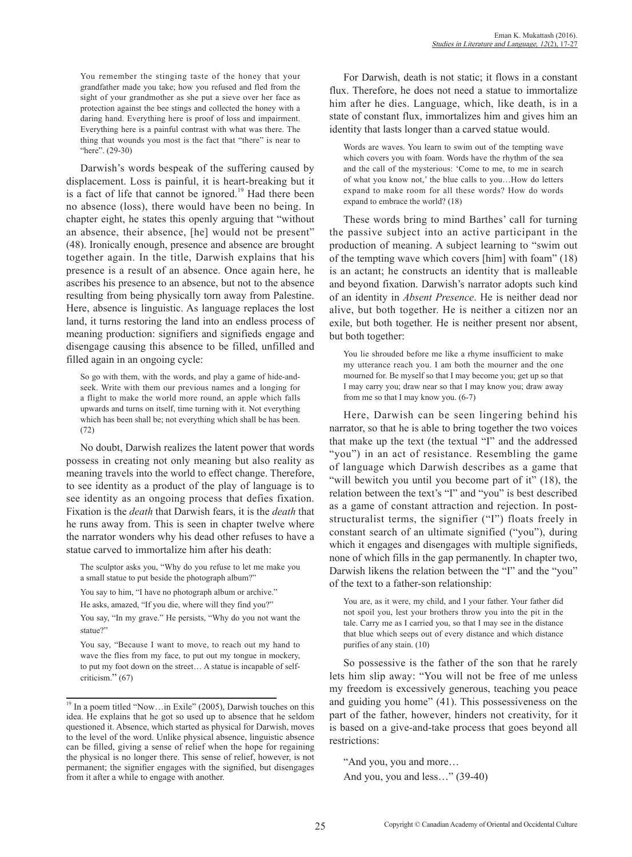You remember the stinging taste of the honey that your grandfather made you take; how you refused and fled from the sight of your grandmother as she put a sieve over her face as protection against the bee stings and collected the honey with a daring hand. Everything here is proof of loss and impairment. Everything here is a painful contrast with what was there. The thing that wounds you most is the fact that "there" is near to "here". (29-30)

Darwish's words bespeak of the suffering caused by displacement. Loss is painful, it is heart-breaking but it is a fact of life that cannot be ignored.<sup>19</sup> Had there been no absence (loss), there would have been no being. In chapter eight, he states this openly arguing that "without an absence, their absence, [he] would not be present" (48). Ironically enough, presence and absence are brought together again. In the title, Darwish explains that his presence is a result of an absence. Once again here, he ascribes his presence to an absence, but not to the absence resulting from being physically torn away from Palestine. Here, absence is linguistic. As language replaces the lost land, it turns restoring the land into an endless process of meaning production: signifiers and signifieds engage and disengage causing this absence to be filled, unfilled and filled again in an ongoing cycle:

So go with them, with the words, and play a game of hide-andseek. Write with them our previous names and a longing for a flight to make the world more round, an apple which falls upwards and turns on itself, time turning with it. Not everything which has been shall be; not everything which shall be has been. (72)

No doubt, Darwish realizes the latent power that words possess in creating not only meaning but also reality as meaning travels into the world to effect change. Therefore, to see identity as a product of the play of language is to see identity as an ongoing process that defies fixation. Fixation is the *death* that Darwish fears, it is the *death* that he runs away from. This is seen in chapter twelve where the narrator wonders why his dead other refuses to have a statue carved to immortalize him after his death:

The sculptor asks you, "Why do you refuse to let me make you a small statue to put beside the photograph album?"

You say to him, "I have no photograph album or archive."

He asks, amazed, "If you die, where will they find you?"

You say, "In my grave." He persists, "Why do you not want the statue?"

You say, "Because I want to move, to reach out my hand to wave the flies from my face, to put out my tongue in mockery, to put my foot down on the street… A statue is incapable of selfcriticism." (67)

For Darwish, death is not static; it flows in a constant flux. Therefore, he does not need a statue to immortalize him after he dies. Language, which, like death, is in a state of constant flux, immortalizes him and gives him an identity that lasts longer than a carved statue would.

Words are waves. You learn to swim out of the tempting wave which covers you with foam. Words have the rhythm of the sea and the call of the mysterious: 'Come to me, to me in search of what you know not,' the blue calls to you…How do letters expand to make room for all these words? How do words expand to embrace the world? (18)

These words bring to mind Barthes' call for turning the passive subject into an active participant in the production of meaning. A subject learning to "swim out of the tempting wave which covers [him] with foam" (18) is an actant; he constructs an identity that is malleable and beyond fixation. Darwish's narrator adopts such kind of an identity in *Absent Presence*. He is neither dead nor alive, but both together. He is neither a citizen nor an exile, but both together. He is neither present nor absent, but both together:

You lie shrouded before me like a rhyme insufficient to make my utterance reach you. I am both the mourner and the one mourned for. Be myself so that I may become you; get up so that I may carry you; draw near so that I may know you; draw away from me so that I may know you. (6-7)

Here, Darwish can be seen lingering behind his narrator, so that he is able to bring together the two voices that make up the text (the textual "I" and the addressed "you") in an act of resistance. Resembling the game of language which Darwish describes as a game that "will bewitch you until you become part of it" (18), the relation between the text's "I" and "you" is best described as a game of constant attraction and rejection. In poststructuralist terms, the signifier ("I") floats freely in constant search of an ultimate signified ("you"), during which it engages and disengages with multiple signifieds, none of which fills in the gap permanently. In chapter two, Darwish likens the relation between the "I" and the "you" of the text to a father-son relationship:

You are, as it were, my child, and I your father. Your father did not spoil you, lest your brothers throw you into the pit in the tale. Carry me as I carried you, so that I may see in the distance that blue which seeps out of every distance and which distance purifies of any stain. (10)

So possessive is the father of the son that he rarely lets him slip away: "You will not be free of me unless my freedom is excessively generous, teaching you peace and guiding you home" (41). This possessiveness on the part of the father, however, hinders not creativity, for it is based on a give-and-take process that goes beyond all restrictions:

"And you, you and more… And you, you and less…" (39-40)

<sup>&</sup>lt;sup>19</sup> In a poem titled "Now...in Exile" (2005), Darwish touches on this idea. He explains that he got so used up to absence that he seldom questioned it. Absence, which started as physical for Darwish, moves to the level of the word. Unlike physical absence, linguistic absence can be filled, giving a sense of relief when the hope for regaining the physical is no longer there. This sense of relief, however, is not permanent; the signifier engages with the signified, but disengages from it after a while to engage with another.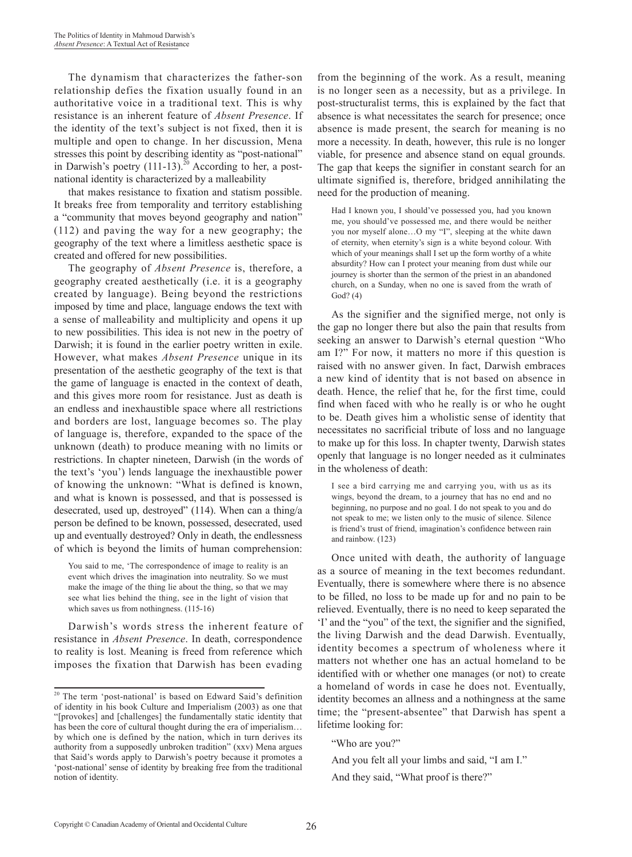The dynamism that characterizes the father-son relationship defies the fixation usually found in an authoritative voice in a traditional text. This is why resistance is an inherent feature of *Absent Presence*. If the identity of the text's subject is not fixed, then it is multiple and open to change. In her discussion, Mena stresses this point by describing identity as "post-national" in Darwish's poetry  $(111-13)$ <sup>20</sup> According to her, a postnational identity is characterized by a malleability

that makes resistance to fixation and statism possible. It breaks free from temporality and territory establishing a "community that moves beyond geography and nation" (112) and paving the way for a new geography; the geography of the text where a limitless aesthetic space is created and offered for new possibilities.

The geography of *Absent Presence* is, therefore, a geography created aesthetically (i.e. it is a geography created by language). Being beyond the restrictions imposed by time and place, language endows the text with a sense of malleability and multiplicity and opens it up to new possibilities. This idea is not new in the poetry of Darwish; it is found in the earlier poetry written in exile. However, what makes *Absent Presence* unique in its presentation of the aesthetic geography of the text is that the game of language is enacted in the context of death, and this gives more room for resistance. Just as death is an endless and inexhaustible space where all restrictions and borders are lost, language becomes so. The play of language is, therefore, expanded to the space of the unknown (death) to produce meaning with no limits or restrictions. In chapter nineteen, Darwish (in the words of the text's 'you') lends language the inexhaustible power of knowing the unknown: "What is defined is known, and what is known is possessed, and that is possessed is desecrated, used up, destroyed" (114). When can a thing/a person be defined to be known, possessed, desecrated, used up and eventually destroyed? Only in death, the endlessness of which is beyond the limits of human comprehension:

You said to me, 'The correspondence of image to reality is an event which drives the imagination into neutrality. So we must make the image of the thing lie about the thing, so that we may see what lies behind the thing, see in the light of vision that which saves us from nothingness.  $(115-16)$ 

Darwish's words stress the inherent feature of resistance in *Absent Presence*. In death, correspondence to reality is lost. Meaning is freed from reference which imposes the fixation that Darwish has been evading

from the beginning of the work. As a result, meaning is no longer seen as a necessity, but as a privilege. In post-structuralist terms, this is explained by the fact that absence is what necessitates the search for presence; once absence is made present, the search for meaning is no more a necessity. In death, however, this rule is no longer viable, for presence and absence stand on equal grounds. The gap that keeps the signifier in constant search for an ultimate signified is, therefore, bridged annihilating the need for the production of meaning.

Had I known you, I should've possessed you, had you known me, you should've possessed me, and there would be neither you nor myself alone…O my "I", sleeping at the white dawn of eternity, when eternity's sign is a white beyond colour. With which of your meanings shall I set up the form worthy of a white absurdity? How can I protect your meaning from dust while our journey is shorter than the sermon of the priest in an abandoned church, on a Sunday, when no one is saved from the wrath of God? (4)

As the signifier and the signified merge, not only is the gap no longer there but also the pain that results from seeking an answer to Darwish's eternal question "Who am I?" For now, it matters no more if this question is raised with no answer given. In fact, Darwish embraces a new kind of identity that is not based on absence in death. Hence, the relief that he, for the first time, could find when faced with who he really is or who he ought to be. Death gives him a wholistic sense of identity that necessitates no sacrificial tribute of loss and no language to make up for this loss. In chapter twenty, Darwish states openly that language is no longer needed as it culminates in the wholeness of death:

I see a bird carrying me and carrying you, with us as its wings, beyond the dream, to a journey that has no end and no beginning, no purpose and no goal. I do not speak to you and do not speak to me; we listen only to the music of silence. Silence is friend's trust of friend, imagination's confidence between rain and rainbow. (123)

Once united with death, the authority of language as a source of meaning in the text becomes redundant. Eventually, there is somewhere where there is no absence to be filled, no loss to be made up for and no pain to be relieved. Eventually, there is no need to keep separated the 'I' and the "you" of the text, the signifier and the signified, the living Darwish and the dead Darwish. Eventually, identity becomes a spectrum of wholeness where it matters not whether one has an actual homeland to be identified with or whether one manages (or not) to create a homeland of words in case he does not. Eventually, identity becomes an allness and a nothingness at the same time; the "present-absentee" that Darwish has spent a lifetime looking for:

<sup>20</sup> The term 'post-national' is based on Edward Said's definition of identity in his book Culture and Imperialism (2003) as one that "[provokes] and [challenges] the fundamentally static identity that has been the core of cultural thought during the era of imperialism... by which one is defined by the nation, which in turn derives its authority from a supposedly unbroken tradition" (xxv) Mena argues that Said's words apply to Darwish's poetry because it promotes a 'post-national' sense of identity by breaking free from the traditional notion of identity.

<sup>&</sup>quot;Who are you?"

And you felt all your limbs and said, "I am I." And they said, "What proof is there?"